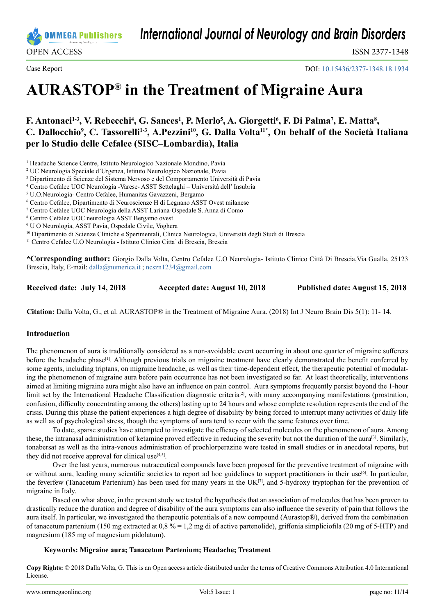

Case Report

DOI: [10.15436/2377-1348.18.1](https://doi.org/10.15436/2377-1348.18.1934)934

# **AURASTOP® in the Treatment of Migraine Aura**

**F. Antonaci<sup>1-3</sup>, V. Rebecchi<sup>4</sup>, G. Sances<sup>1</sup>, P. Merlo<sup>5</sup>, A. Giorgetti<sup>6</sup>, F. Di Palma<sup>7</sup>, E. Matta<sup>8</sup>,** C. Dallocchio<sup>9</sup>, C. Tassorelli<sup>1.3</sup>, A.Pezzini<sup>10</sup>, G. Dalla Volta<sup>11\*</sup>, On behalf of the Società Italiana **per lo Studio delle Cefalee (SISC–Lombardia), Italia**

<sup>1</sup> Headache Science Centre, Istituto Neurologico Nazionale Mondino, Pavia

3 Dipartimento di Scienze del Sistema Nervoso e del Comportamento Università di Pavia

4 Centro Cefalee UOC Neurologia -Varese- ASST Settelaghi – Università dell' Insubria

5 U.O.Neurologia- Centro Cefalee, Humanitas Gavazzeni, Bergamo

6 Centro Cefalee, Dipartimento di Neuroscienze H di Legnano ASST Ovest milanese

7 Centro Cefalee UOC Neurologia della ASST Lariana-Ospedale S. Anna di Como

- 8 Centro Cefalee UOC neurologia ASST Bergamo ovest
- 9 U O Neurologia, ASST Pavia, Ospedale Civile, Voghera
- 10 Dipartimento di Scienze Cliniche e Sperimentali, Clinica Neurologica, Università degli Studi di Brescia
- <sup>11</sup> Centro Cefalee U.O Neurologia Istituto Clinico Citta' di Brescia, Brescia

**\*Corresponding author:** Giorgio Dalla Volta, Centro Cefalee U.O Neurologia- Istituto Clinico Città Di Brescia,Via Gualla, 25123 Brescia, Italy, E-mail: [dalla@numerica.it](mailto:dalla@numerica.it) ; [ncszn1234@gmail.com](mailto:ncszn1234@gmail.com)

**Received date: July 14, 2018 Accepted date: August 10, 2018 Published date: August 15, 2018**

**Citation:** Dalla Volta, G., et al. AURASTOP® in the Treatment of Migraine Aura. (2018) Int J Neuro Brain Dis 5(1): 11- 14.

### **Introduction**

The phenomenon of aura is traditionally considered as a non-avoidable event occurring in about one quarter of migraine sufferers before the headache phase<sup>[\[1\]](#page-2-0)</sup>. Although previous trials on migraine treatment have clearly demonstrated the benefit conferred by some agents, including triptans, on migraine headache, as well as their time-dependent effect, the therapeutic potential of modulating the phenomenon of migraine aura before pain occurrence has not been investigated so far. At least theoretically, interventions aimed at limiting migraine aura might also have an influence on pain control. Aura symptoms frequently persist beyond the 1-hour limit set by the International Headache Classification diagnostic criteria<sup>[2]</sup>, with many accompanying manifestations (prostration, confusion, difficulty concentrating among the others) lasting up to 24 hours and whose complete resolution represents the end of the crisis. During this phase the patient experiences a high degree of disability by being forced to interrupt many activities of daily life as well as of psychological stress, though the symptoms of aura tend to recur with the same features over time.

To date, sparse studies have attempted to investigate the efficacy of selected molecules on the phenomenon of aura. Among these, the intranasal administration of ketamine proved effective in reducing the severity but not the duration of the aura<sup>[\[3\]](#page-3-1)</sup>. Similarly, tonabersat as well as the intra-venous administration of prochlorperazine were tested in small studies or in anecdotal reports, but they did not receive approval for clinical use $[4,5]$ .

Over the last years, numerous nutraceutical compounds have been proposed for the preventive treatment of migraine with or without aura, leading many scientific societies to report ad hoc guidelines to support practitioners in their use<sup>[\[6\]](#page-3-3)</sup>. In particular, the feverfew (Tanacetum Partenium) has been used for many years in the UK<sup>[7]</sup>, and 5-hydroxy tryptophan for the prevention of migraine in Italy.

Based on what above, in the present study we tested the hypothesis that an association of molecules that has been proven to drastically reduce the duration and degree of disability of the aura symptoms can also influence the severity of pain that follows the aura itself. In particular, we investigated the therapeutic potentials of a new compound (Aurastop®), derived from the combination of tanacetum partenium (150 mg extracted at  $0,8\% = 1,2$  mg di of active partenolide), griffonia simpliciofila (20 mg of 5-HTP) and magnesium (185 mg of magnesium pidolatum).

### **Keywords: Migraine aura; Tanacetum Partenium; Headache; Treatment**

**Copy Rights:** © 2018 Dalla Volta, G. This is an Open access article distributed under the terms of Creative Commons Attribution 4.0 International License.

<sup>2</sup> UC Neurologia Speciale d'Urgenza, Istituto Neurologico Nazionale, Pavia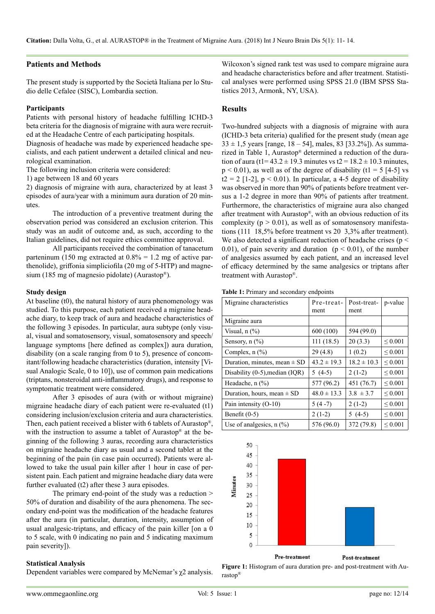# **Patients and Methods**

The present study is supported by the Società Italiana per lo Studio delle Cefalee (SISC), Lombardia section.

# **Participants**

Patients with personal history of headache fulfilling ICHD-3 beta criteria for the diagnosis of migraine with aura were recruited at the Headache Centre of each participating hospitals.

Diagnosis of headache was made by experienced headache specialists, and each patient underwent a detailed clinical and neurological examination.

The following inclusion criteria were considered:

1) age between 18 and 60 years

2) diagnosis of migraine with aura, characterized by at least 3 episodes of aura/year with a minimum aura duration of 20 minutes.

The introduction of a preventive treatment during the observation period was considered an exclusion criterion. This study was an audit of outcome and, as such, according to the Italian guidelines, did not require ethics committee approval.

All participants received the combination of tanacetum parteninum (150 mg extracted at  $0.8\% = 1.2$  mg of active parthenolide), griffonia simpliciofila (20 mg of 5-HTP) and magnesium (185 mg of magnesio pidolate) (Aurastop®).

#### **Study design**

At baseline (t0), the natural history of aura phenomenology was studied. To this purpose, each patient received a migraine headache diary, to keep track of aura and headache characteristics of the following 3 episodes. In particular, aura subtype (only visual, visual and somatosensory, visual, somatosensory and speech/ language symptoms [here defined as complex]) aura duration, disability (on a scale ranging from 0 to 5), presence of concomitant/following headache characteristics (duration, intensity [Visual Analogic Scale, 0 to 10]), use of common pain medications (triptans, nonsteroidal anti-inflammatory drugs), and response to symptomatic treatment were considered.

After 3 episodes of aura (with or without migraine) migraine headache diary of each patient were re-evaluated (t1) considering inclusion/exclusion criteria and aura characteristics. Then, each patient received a blister with 6 tablets of Aurastop®, with the instruction to assume a tablet of Aurastop® at the beginning of the following 3 auras, recording aura characteristics on migraine headache diary as usual and a second tablet at the beginning of the pain (in case pain occurred). Patients were allowed to take the usual pain killer after 1 hour in case of persistent pain. Each patient and migraine headache diary data were further evaluated (t2) after these 3 aura episodes.

The primary end-point of the study was a reduction > 50% of duration and disability of the aura phenomena. The secondary end-point was the modification of the headache features after the aura (in particular, duration, intensity, assumption of usual analgesic-triptans, and efficacy of the pain killer [on a 0 to 5 scale, with 0 indicating no pain and 5 indicating maximum pain severity]).

# **Statistical Analysis**

Dependent variables were compared by McNemar's  $\chi$ 2 analysis.

Wilcoxon's signed rank test was used to compare migraine aura and headache characteristics before and after treatment. Statistical analyses were performed using SPSS 21.0 (IBM SPSS Statistics 2013, Armonk, NY, USA).

# **Results**

Two-hundred subjects with a diagnosis of migraine with aura (ICHD-3 beta criteria) qualified for the present study (mean age  $33 \pm 1,5$  years [range,  $18 - 54$ ], males, 83 [33.2%]). As summarized in Table 1, Aurastop® determined a reduction of the duration of aura (t1 =  $43.2 \pm 19.3$  minutes vs t2 =  $18.2 \pm 10.3$  minutes,  $p < 0.01$ ), as well as of the degree of disability (t1 = 5 [4-5] vs  $t2 = 2$  [1-2],  $p < 0.01$ ). In particular, a 4-5 degree of disability was observed in more than 90% of patients before treatment versus a 1-2 degree in more than 90% of patients after treatment. Furthermore, the characteristics of migraine aura also changed after treatment with Aurastop®, with an obvious reduction of its complexity ( $p > 0.01$ ), as well as of somatosensory manifestations (111 18,5% before treatment vs 20 3,3% after treatment). We also detected a significant reduction of headache crises ( $p <$ 0.01), of pain severity and duration ( $p < 0.01$ ), of the number of analgesics assumed by each patient, and an increased level of efficacy determined by the same analgesics or triptans after treatment with Aurastop®.

**Table 1:** Primary and secondary endpoints

| Migraine characteristics                | Pre-treat-<br>ment | Post-treat-<br>ment | p-value      |
|-----------------------------------------|--------------------|---------------------|--------------|
| Migraine aura                           |                    |                     |              |
| Visual, $n$ $(\%)$                      | 600 (100)          | 594 (99.0)          |              |
| Sensory, n (%)                          | 111(18.5)          | 20(3.3)             | $\leq 0.001$ |
| Complex, $n$ $\left(\frac{9}{6}\right)$ | 29(4.8)            | 1(0.2)              | $\leq 0.001$ |
| Duration, minutes, mean $\pm$ SD        | $43.2 \pm 19.3$    | $18.2 \pm 10.3$     | $\leq 0.001$ |
| Disability $(0-5)$ , median $(IQR)$     | $5(4-5)$           | $2(1-2)$            | ${}_{0.001}$ |
| Headache, n (%)                         | 577 (96.2)         | 451 (76.7)          | $\leq 0.001$ |
| Duration, hours, mean $\pm$ SD          | $48.0 \pm 13.3$    | $3.8 \pm 3.7$       | $\leq 0.001$ |
| Pain intensity (O-10)                   | $5(4-7)$           | $2(1-2)$            | ${}_{0.001}$ |
| Benefit $(0-5)$                         | $2(1-2)$           | $5(4-5)$            | $\leq 0.001$ |
| Use of analgesics, $n$ $(\%)$           | 576 (96.0)         | 372 (79.8)          | ${}_{0.001}$ |



Pre-treatment

**Figure 1:** Histogram of aura duration pre- and post-treatment with Aurastop®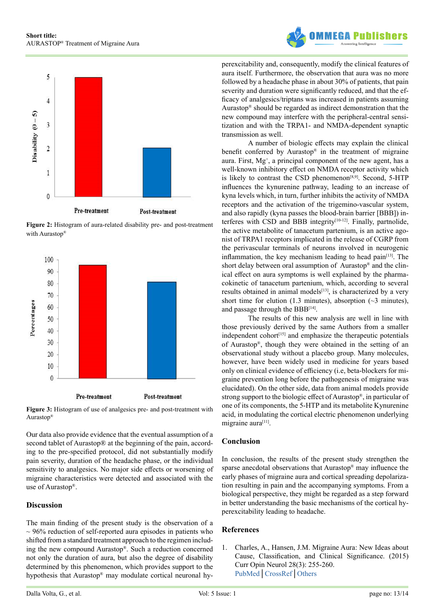



**Figure 2:** Histogram of aura-related disability pre- and post-treatment with Aurastop®



**Figure 3:** Histogram of use of analgesics pre- and post-treatment with Aurastop®

Our data also provide evidence that the eventual assumption of a second tablet of Aurastop® at the beginning of the pain, according to the pre-specified protocol, did not substantially modify pain severity, duration of the headache phase, or the individual sensitivity to analgesics. No major side effects or worsening of migraine characteristics were detected and associated with the use of Aurastop®.

# **Discussion**

The main finding of the present study is the observation of a  $\sim$  96% reduction of self-reported aura episodes in patients who shifted from a standard treatment approach to the regimen including the new compound Aurastop®. Such a reduction concerned not only the duration of aura, but also the degree of disability determined by this phenomenon, which provides support to the hypothesis that Aurastop® may modulate cortical neuronal hyperexcitability and, consequently, modify the clinical features of aura itself. Furthermore, the observation that aura was no more followed by a headache phase in about 30% of patients, that pain severity and duration were significantly reduced, and that the efficacy of analgesics/triptans was increased in patients assuming Aurastop® should be regarded as indirect demonstration that the new compound may interfere with the peripheral-central sensitization and with the TRPA1- and NMDA-dependent synaptic transmission as well.

A number of biologic effects may explain the clinical benefit conferred by Aurastop® in the treatment of migraine aura. First, Mg<sup>+</sup>, a principal component of the new agent, has a well-known inhibitory effect on NMDA receptor activity which is likely to contrast the CSD phenomenon<sup>[8,9]</sup>. Second, 5-HTP influences the kynurenine pathway, leading to an increase of kyna levels which, in turn, further inhibits the activity of NMDA receptors and the activation of the trigemino-vascular system, and also rapidly (kyna passes the blood-brain barrier [BBB]) interferes with CSD and BBB integrity<sup>[10-12]</sup>. Finally, partnolide, the active metabolite of tanacetum partenium, is an active agonist of TRPA1 receptors implicated in the release of CGRP from the perivascular terminals of neurons involved in neurogenic inflammation, the key mechanism leading to head pain $[13]$ . The short delay between oral assumption of Aurastop® and the clinical effect on aura symptoms is well explained by the pharmacokinetic of tanacetum partenium, which, according to several results obtained in animal models<sup>[13]</sup>, is characterized by a very short time for elution (1.3 minutes), absorption  $(\sim$ 3 minutes), and passage through the BBB[\[14\]](#page-3-8).

The results of this new analysis are well in line with those previously derived by the same Authors from a smaller independent cohort<sup>[15]</sup> and emphasize the therapeutic potentials of Aurastop®, though they were obtained in the setting of an observational study without a placebo group. Many molecules, however, have been widely used in medicine for years based only on clinical evidence of efficiency (i.e, beta-blockers for migraine prevention long before the pathogenesis of migraine was elucidated). On the other side, data from animal models provide strong support to the biologic effect of Aurastop®, in particular of one of its components, the 5-HTP and its metabolite Kynurenine acid, in modulating the cortical electric phenomenon underlying migraine aura<sup>[\[11\]](#page-3-10)</sup>.

# **Conclusion**

In conclusion, the results of the present study strengthen the sparse anecdotal observations that Aurastop® may influence the early phases of migraine aura and cortical spreading depolarization resulting in pain and the accompanying symptoms. From a biological perspective, they might be regarded as a step forward in better understanding the basic mechanisms of the cortical hyperexcitability leading to headache.

### **References**

<span id="page-2-0"></span>1. Charles, A., Hansen, J.M. Migraine Aura: New Ideas about Cause, Classification, and Clinical Significance. (2015) Curr Opin Neurol 28(3): 255-260. [PubMed](https://www.ncbi.nlm.nih.gov/pubmed/25923125)│[CrossRef](https://doi.org/10.1097/WCO.0000000000000193)│[Others](https://journals.lww.com/co-neurology/Abstract/2015/06000/Migraine_aura___new_ideas_about_cause,.8.aspx)